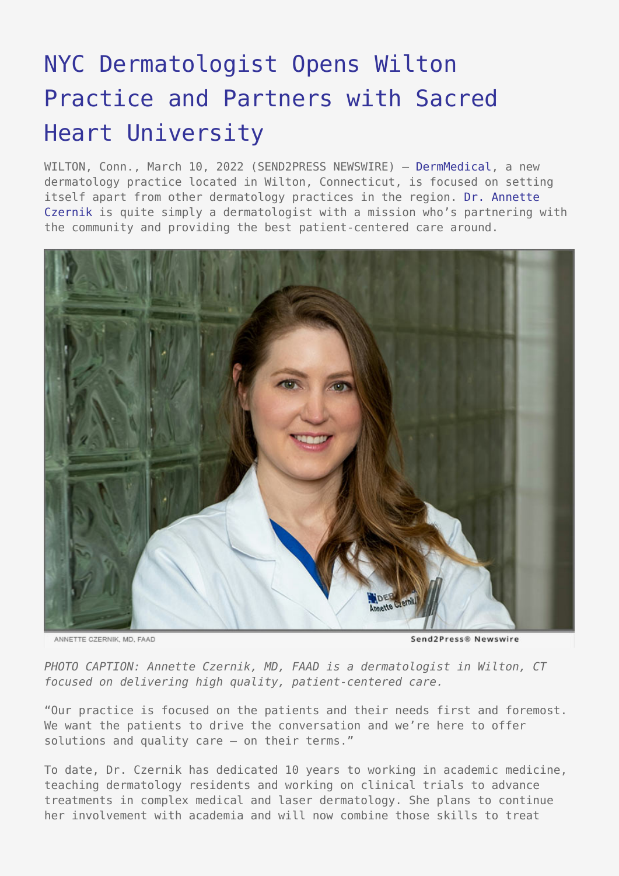## [NYC Dermatologist Opens Wilton](https://www.send2press.com/wire/nyc-dermatologist-opens-wilton-practice-and-partners-with-sacred-heart-university/) [Practice and Partners with Sacred](https://www.send2press.com/wire/nyc-dermatologist-opens-wilton-practice-and-partners-with-sacred-heart-university/) [Heart University](https://www.send2press.com/wire/nyc-dermatologist-opens-wilton-practice-and-partners-with-sacred-heart-university/)

WILTON, Conn., March 10, 2022 (SEND2PRESS NEWSWIRE) - [DermMedical,](https://www.dermmedical.org) a new dermatology practice located in Wilton, Connecticut, is focused on setting itself apart from other dermatology practices in the region. [Dr. Annette](https://dermmedical.org/about/#meet-the-team) [Czernik](https://dermmedical.org/about/#meet-the-team) is quite simply a dermatologist with a mission who's partnering with the community and providing the best patient-centered care around.



ANNETTE CZERNIK, MD, FAAD

Send2Press® Newswire

*PHOTO CAPTION: Annette Czernik, MD, FAAD is a dermatologist in Wilton, CT focused on delivering high quality, patient-centered care.*

"Our practice is focused on the patients and their needs first and foremost. We want the patients to drive the conversation and we're here to offer solutions and quality care – on their terms."

To date, Dr. Czernik has dedicated 10 years to working in academic medicine, teaching dermatology residents and working on clinical trials to advance treatments in complex medical and laser dermatology. She plans to continue her involvement with academia and will now combine those skills to treat